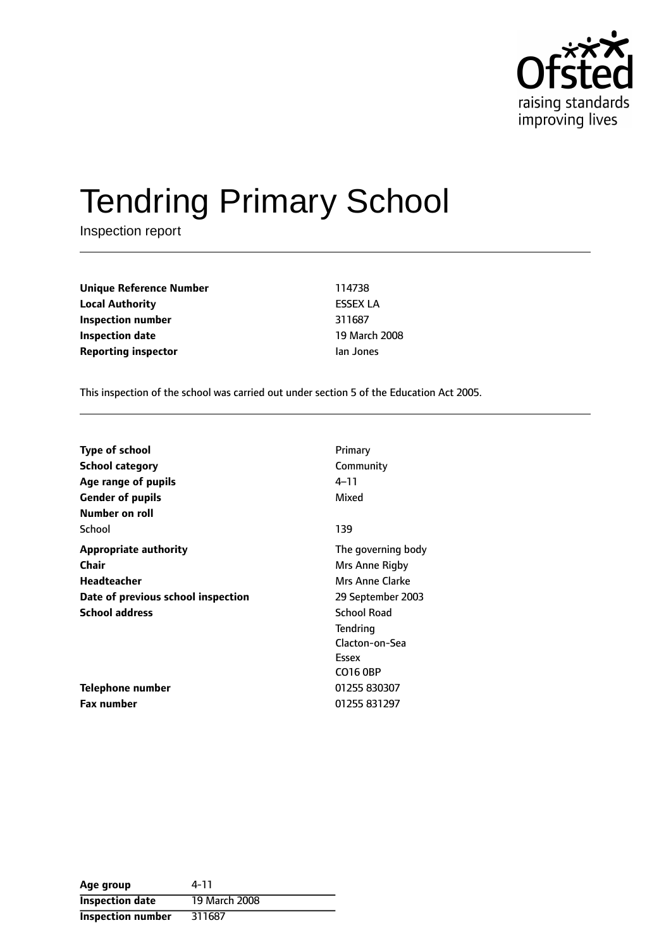

# Tendring Primary School

Inspection report

**Unique Reference Number** 114738 **Local Authority** ESSEX LA **Inspection number** 311687 **Inspection date** 19 March 2008 **Reporting inspector instance in the Ian Jones** 

This inspection of the school was carried out under section 5 of the Education Act 2005.

| <b>Type of school</b>              | Primary            |
|------------------------------------|--------------------|
| <b>School category</b>             | Community          |
| Age range of pupils                | 4–11               |
| <b>Gender of pupils</b>            | Mixed              |
| Number on roll                     |                    |
| School                             | 139                |
| <b>Appropriate authority</b>       | The governing body |
| Chair                              | Mrs Anne Rigby     |
| Headteacher                        | Mrs Anne Clarke    |
| Date of previous school inspection | 29 September 2003  |
| <b>School address</b>              | <b>School Road</b> |
|                                    | Tendring           |
|                                    | Clacton-on-Sea     |
|                                    | Essex              |
|                                    | CO16 0BP           |
| <b>Telephone number</b>            | 01255 830307       |
| <b>Fax number</b>                  | 01255 831297       |

| Age group                | 4-11          |
|--------------------------|---------------|
| <b>Inspection date</b>   | 19 March 2008 |
| <b>Inspection number</b> | 311687        |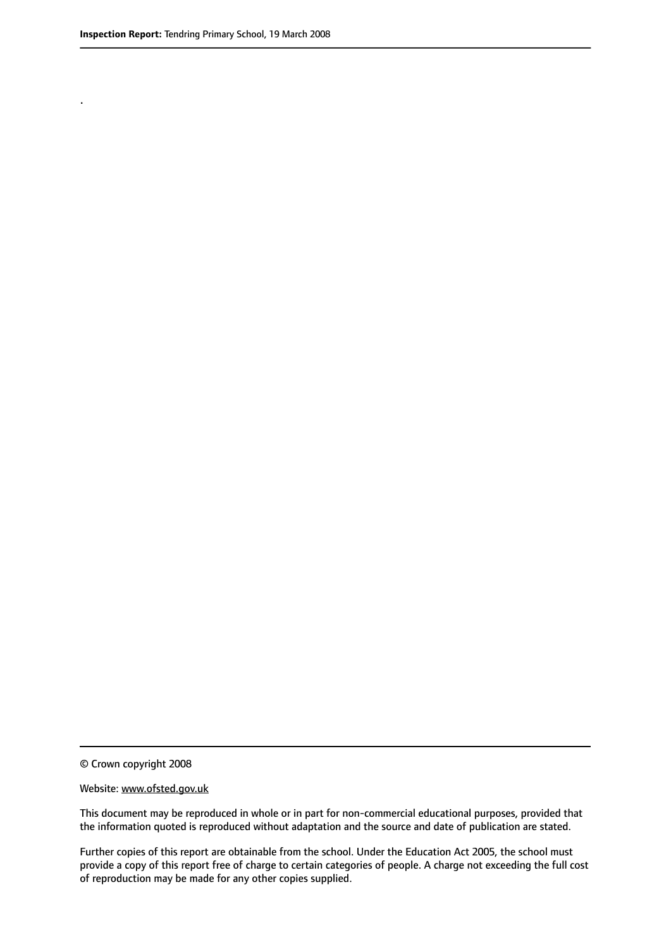.

© Crown copyright 2008

#### Website: www.ofsted.gov.uk

This document may be reproduced in whole or in part for non-commercial educational purposes, provided that the information quoted is reproduced without adaptation and the source and date of publication are stated.

Further copies of this report are obtainable from the school. Under the Education Act 2005, the school must provide a copy of this report free of charge to certain categories of people. A charge not exceeding the full cost of reproduction may be made for any other copies supplied.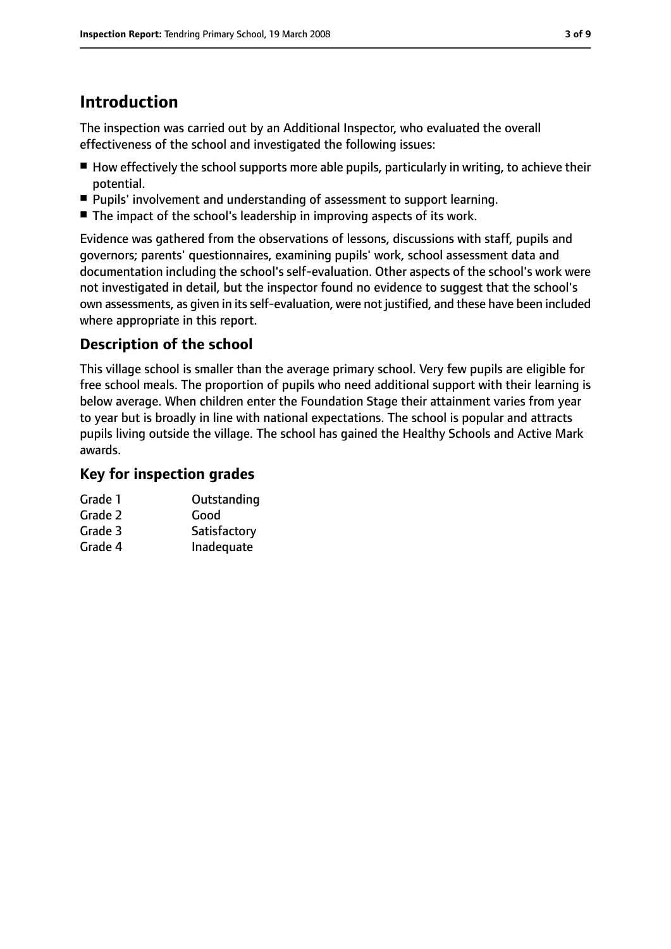# **Introduction**

The inspection was carried out by an Additional Inspector, who evaluated the overall effectiveness of the school and investigated the following issues:

- How effectively the school supports more able pupils, particularly in writing, to achieve their potential.
- Pupils' involvement and understanding of assessment to support learning.
- The impact of the school's leadership in improving aspects of its work.

Evidence was gathered from the observations of lessons, discussions with staff, pupils and governors; parents' questionnaires, examining pupils' work, school assessment data and documentation including the school's self-evaluation. Other aspects of the school's work were not investigated in detail, but the inspector found no evidence to suggest that the school's own assessments, as given in itsself-evaluation, were not justified, and these have been included where appropriate in this report.

## **Description of the school**

This village school is smaller than the average primary school. Very few pupils are eligible for free school meals. The proportion of pupils who need additional support with their learning is below average. When children enter the Foundation Stage their attainment varies from year to year but is broadly in line with national expectations. The school is popular and attracts pupils living outside the village. The school has gained the Healthy Schools and Active Mark awards.

#### **Key for inspection grades**

| Grade 1 | Outstanding  |
|---------|--------------|
| Grade 2 | Good         |
| Grade 3 | Satisfactory |
| Grade 4 | Inadequate   |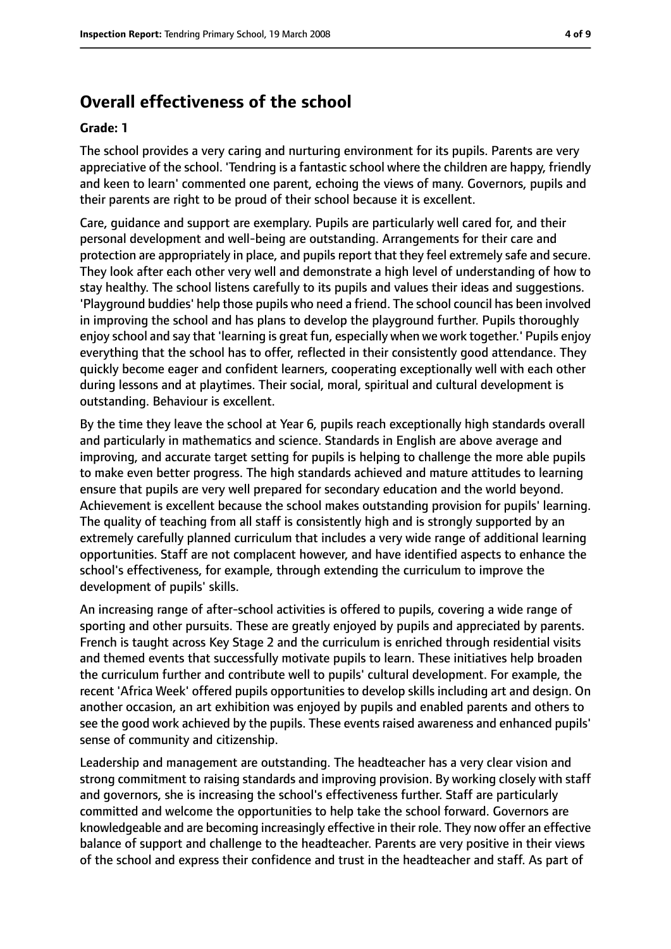## **Overall effectiveness of the school**

#### **Grade: 1**

The school provides a very caring and nurturing environment for its pupils. Parents are very appreciative of the school. 'Tendring is a fantastic school where the children are happy, friendly and keen to learn' commented one parent, echoing the views of many. Governors, pupils and their parents are right to be proud of their school because it is excellent.

Care, guidance and support are exemplary. Pupils are particularly well cared for, and their personal development and well-being are outstanding. Arrangements for their care and protection are appropriately in place, and pupils report that they feel extremely safe and secure. They look after each other very well and demonstrate a high level of understanding of how to stay healthy. The school listens carefully to its pupils and values their ideas and suggestions. 'Playground buddies' help those pupils who need a friend. The school council has been involved in improving the school and has plans to develop the playground further. Pupils thoroughly enjoy school and say that 'learning is great fun, especially when we work together.' Pupils enjoy everything that the school has to offer, reflected in their consistently good attendance. They quickly become eager and confident learners, cooperating exceptionally well with each other during lessons and at playtimes. Their social, moral, spiritual and cultural development is outstanding. Behaviour is excellent.

By the time they leave the school at Year 6, pupils reach exceptionally high standards overall and particularly in mathematics and science. Standards in English are above average and improving, and accurate target setting for pupils is helping to challenge the more able pupils to make even better progress. The high standards achieved and mature attitudes to learning ensure that pupils are very well prepared for secondary education and the world beyond. Achievement is excellent because the school makes outstanding provision for pupils' learning. The quality of teaching from all staff is consistently high and is strongly supported by an extremely carefully planned curriculum that includes a very wide range of additional learning opportunities. Staff are not complacent however, and have identified aspects to enhance the school's effectiveness, for example, through extending the curriculum to improve the development of pupils' skills.

An increasing range of after-school activities is offered to pupils, covering a wide range of sporting and other pursuits. These are greatly enjoyed by pupils and appreciated by parents. French is taught across Key Stage 2 and the curriculum is enriched through residential visits and themed events that successfully motivate pupils to learn. These initiatives help broaden the curriculum further and contribute well to pupils' cultural development. For example, the recent 'Africa Week' offered pupils opportunities to develop skills including art and design. On another occasion, an art exhibition was enjoyed by pupils and enabled parents and others to see the good work achieved by the pupils. These events raised awareness and enhanced pupils' sense of community and citizenship.

Leadership and management are outstanding. The headteacher has a very clear vision and strong commitment to raising standards and improving provision. By working closely with staff and governors, she is increasing the school's effectiveness further. Staff are particularly committed and welcome the opportunities to help take the school forward. Governors are knowledgeable and are becoming increasingly effective in their role. They now offer an effective balance of support and challenge to the headteacher. Parents are very positive in their views of the school and express their confidence and trust in the headteacher and staff. As part of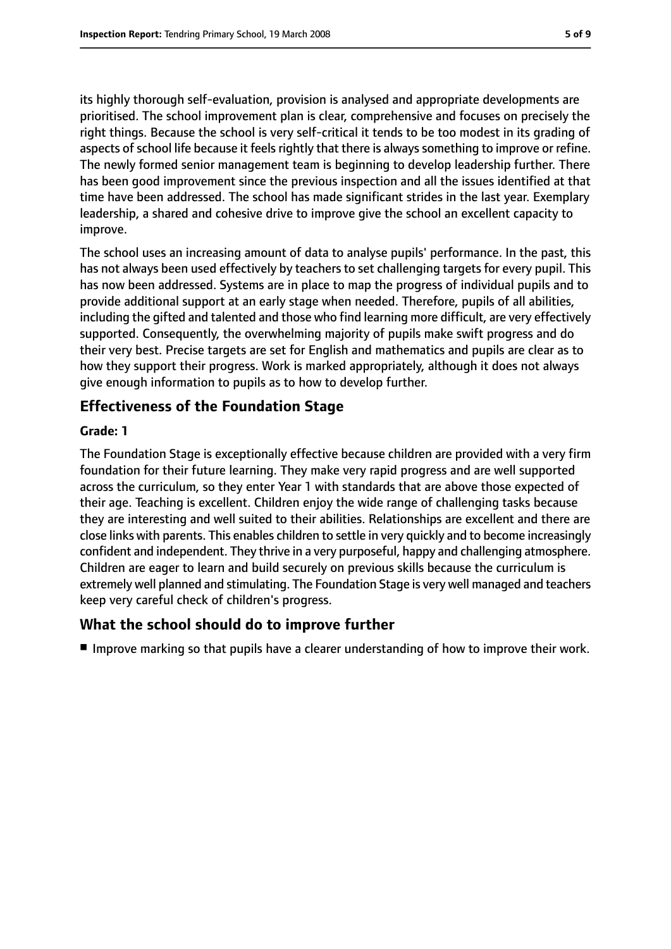its highly thorough self-evaluation, provision is analysed and appropriate developments are prioritised. The school improvement plan is clear, comprehensive and focuses on precisely the right things. Because the school is very self-critical it tends to be too modest in its grading of aspects of school life because it feels rightly that there is always something to improve or refine. The newly formed senior management team is beginning to develop leadership further. There has been good improvement since the previous inspection and all the issues identified at that time have been addressed. The school has made significant strides in the last year. Exemplary leadership, a shared and cohesive drive to improve give the school an excellent capacity to improve.

The school uses an increasing amount of data to analyse pupils' performance. In the past, this has not always been used effectively by teachers to set challenging targets for every pupil. This has now been addressed. Systems are in place to map the progress of individual pupils and to provide additional support at an early stage when needed. Therefore, pupils of all abilities, including the gifted and talented and those who find learning more difficult, are very effectively supported. Consequently, the overwhelming majority of pupils make swift progress and do their very best. Precise targets are set for English and mathematics and pupils are clear as to how they support their progress. Work is marked appropriately, although it does not always give enough information to pupils as to how to develop further.

#### **Effectiveness of the Foundation Stage**

#### **Grade: 1**

The Foundation Stage is exceptionally effective because children are provided with a very firm foundation for their future learning. They make very rapid progress and are well supported across the curriculum, so they enter Year 1 with standards that are above those expected of their age. Teaching is excellent. Children enjoy the wide range of challenging tasks because they are interesting and well suited to their abilities. Relationships are excellent and there are close links with parents. This enables children to settle in very quickly and to become increasingly confident and independent. They thrive in a very purposeful, happy and challenging atmosphere. Children are eager to learn and build securely on previous skills because the curriculum is extremely well planned and stimulating. The Foundation Stage is very well managed and teachers keep very careful check of children's progress.

#### **What the school should do to improve further**

■ Improve marking so that pupils have a clearer understanding of how to improve their work.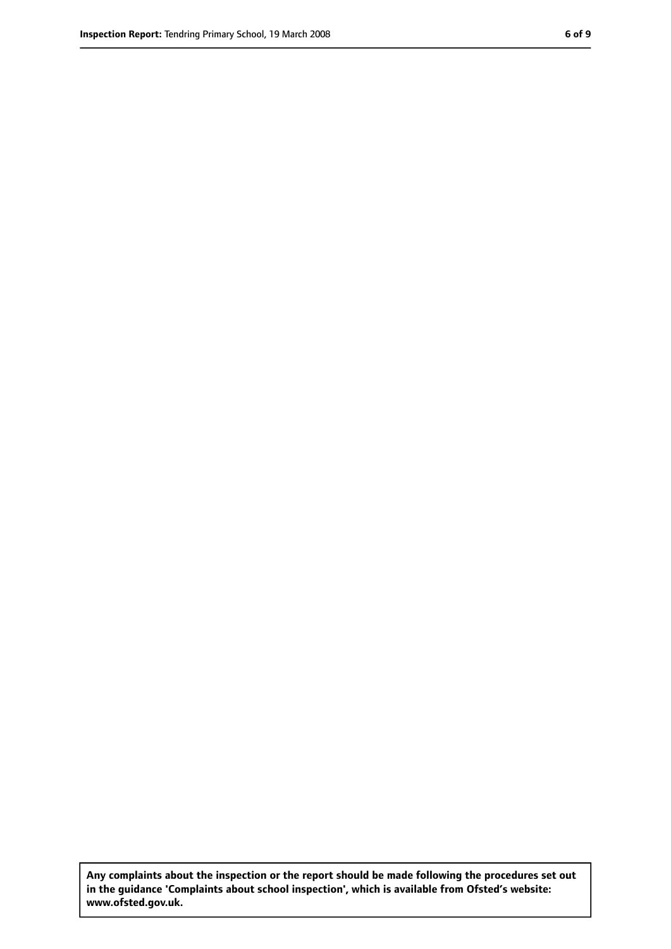**Any complaints about the inspection or the report should be made following the procedures set out in the guidance 'Complaints about school inspection', which is available from Ofsted's website: www.ofsted.gov.uk.**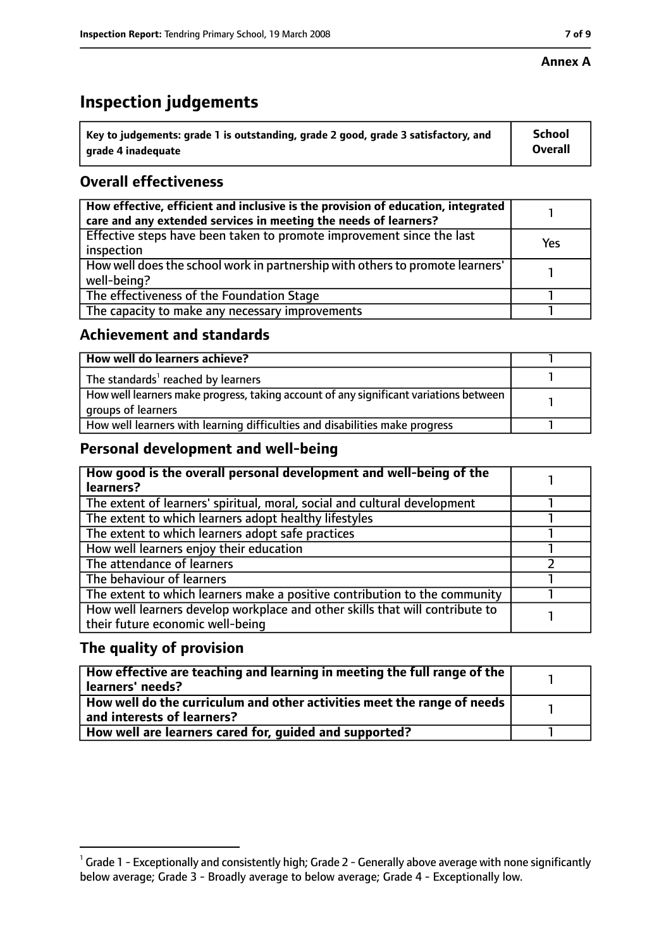#### **Annex A**

# **Inspection judgements**

| $^{\backprime}$ Key to judgements: grade 1 is outstanding, grade 2 good, grade 3 satisfactory, and | <b>School</b>  |
|----------------------------------------------------------------------------------------------------|----------------|
| arade 4 inadequate                                                                                 | <b>Overall</b> |

## **Overall effectiveness**

| How effective, efficient and inclusive is the provision of education, integrated<br>care and any extended services in meeting the needs of learners? |     |
|------------------------------------------------------------------------------------------------------------------------------------------------------|-----|
| Effective steps have been taken to promote improvement since the last<br>inspection                                                                  | Yes |
| How well does the school work in partnership with others to promote learners'<br>well-being?                                                         |     |
| The effectiveness of the Foundation Stage                                                                                                            |     |
| The capacity to make any necessary improvements                                                                                                      |     |

#### **Achievement and standards**

| How well do learners achieve?                                                                               |  |
|-------------------------------------------------------------------------------------------------------------|--|
| The standards <sup>1</sup> reached by learners                                                              |  |
| How well learners make progress, taking account of any significant variations between<br>groups of learners |  |
| How well learners with learning difficulties and disabilities make progress                                 |  |

#### **Personal development and well-being**

| How good is the overall personal development and well-being of the<br>learners?                                  |  |
|------------------------------------------------------------------------------------------------------------------|--|
| The extent of learners' spiritual, moral, social and cultural development                                        |  |
| The extent to which learners adopt healthy lifestyles                                                            |  |
| The extent to which learners adopt safe practices                                                                |  |
| How well learners enjoy their education                                                                          |  |
| The attendance of learners                                                                                       |  |
| The behaviour of learners                                                                                        |  |
| The extent to which learners make a positive contribution to the community                                       |  |
| How well learners develop workplace and other skills that will contribute to<br>their future economic well-being |  |

#### **The quality of provision**

| How effective are teaching and learning in meeting the full range of the<br>learners' needs?          |  |
|-------------------------------------------------------------------------------------------------------|--|
| How well do the curriculum and other activities meet the range of needs<br>and interests of learners? |  |
| How well are learners cared for, quided and supported?                                                |  |

 $^1$  Grade 1 - Exceptionally and consistently high; Grade 2 - Generally above average with none significantly below average; Grade 3 - Broadly average to below average; Grade 4 - Exceptionally low.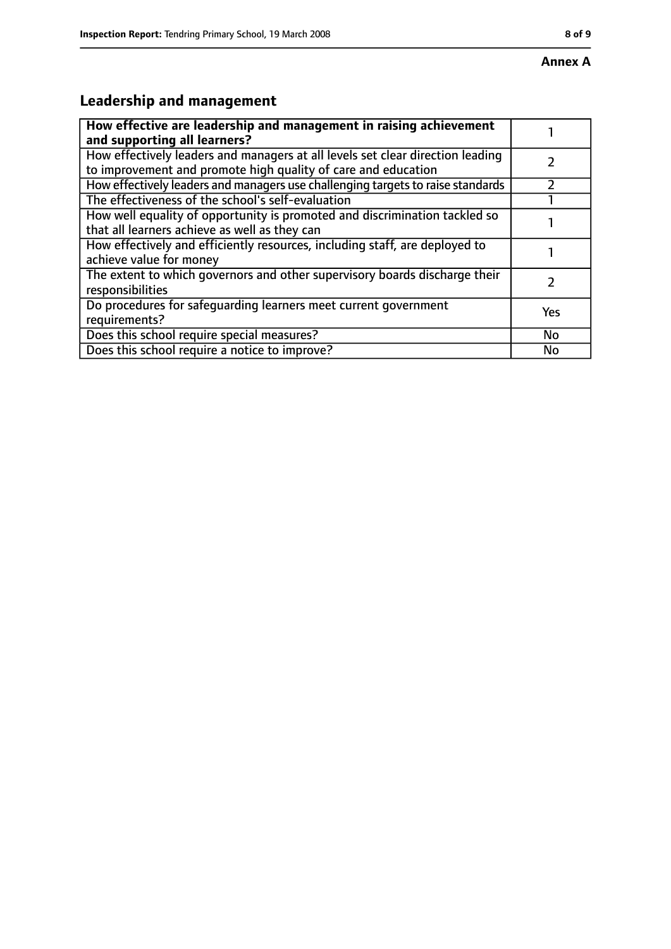# **Leadership and management**

| How effective are leadership and management in raising achievement<br>and supporting all learners?                                              |     |
|-------------------------------------------------------------------------------------------------------------------------------------------------|-----|
| How effectively leaders and managers at all levels set clear direction leading<br>to improvement and promote high quality of care and education |     |
| How effectively leaders and managers use challenging targets to raise standards                                                                 |     |
| The effectiveness of the school's self-evaluation                                                                                               |     |
| How well equality of opportunity is promoted and discrimination tackled so<br>that all learners achieve as well as they can                     |     |
| How effectively and efficiently resources, including staff, are deployed to<br>achieve value for money                                          |     |
| The extent to which governors and other supervisory boards discharge their<br>responsibilities                                                  |     |
| Do procedures for safequarding learners meet current government<br>requirements?                                                                | Yes |
| Does this school require special measures?                                                                                                      | No  |
| Does this school require a notice to improve?                                                                                                   | No  |